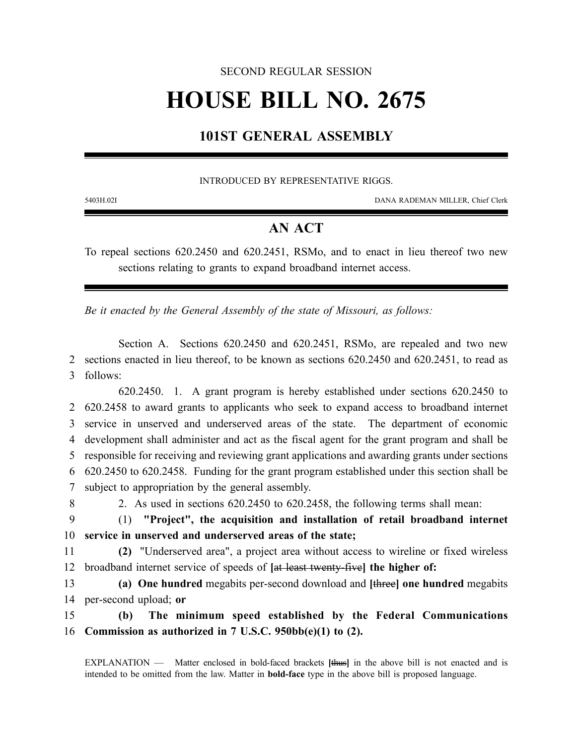#### SECOND REGULAR SESSION

# **HOUSE BILL NO. 2675**

## **101ST GENERAL ASSEMBLY**

#### INTRODUCED BY REPRESENTATIVE RIGGS.

5403H.02I DANA RADEMAN MILLER, Chief Clerk

### **AN ACT**

To repeal sections 620.2450 and 620.2451, RSMo, and to enact in lieu thereof two new sections relating to grants to expand broadband internet access.

*Be it enacted by the General Assembly of the state of Missouri, as follows:*

Section A. Sections 620.2450 and 620.2451, RSMo, are repealed and two new 2 sections enacted in lieu thereof, to be known as sections 620.2450 and 620.2451, to read as 3 follows:

620.2450. 1. A grant program is hereby established under sections 620.2450 to 620.2458 to award grants to applicants who seek to expand access to broadband internet service in unserved and underserved areas of the state. The department of economic development shall administer and act as the fiscal agent for the grant program and shall be responsible for receiving and reviewing grant applications and awarding grants under sections 620.2450 to 620.2458. Funding for the grant program established under this section shall be subject to appropriation by the general assembly.

8 2. As used in sections 620.2450 to 620.2458, the following terms shall mean:

- 9 (1) **"Project", the acquisition and installation of retail broadband internet** 10 **service in unserved and underserved areas of the state;**
- 11 **(2)** "Underserved area", a project area without access to wireline or fixed wireless 12 broadband internet service of speeds of **[**at least twenty-five**] the higher of:**
- 13 **(a) One hundred** megabits per-second download and **[**three**] one hundred** megabits 14 per-second upload; **or**

15 **(b) The minimum speed established by the Federal Communications** 16 **Commission as authorized in 7 U.S.C. 950bb(e)(1) to (2).**

EXPLANATION — Matter enclosed in bold-faced brackets **[**thus**]** in the above bill is not enacted and is intended to be omitted from the law. Matter in **bold-face** type in the above bill is proposed language.